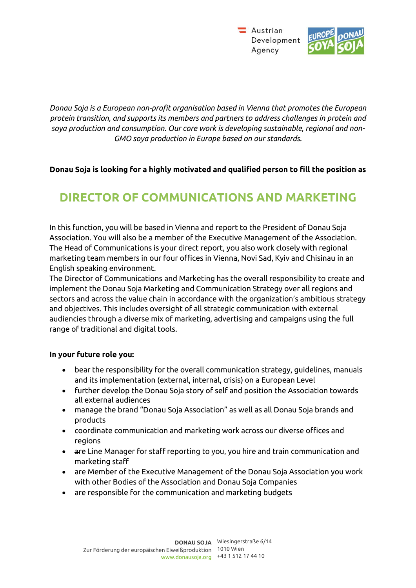$\equiv$  Austrian Development Agency



*Donau Soja is a European non-profit organisation based in Vienna that promotes the European protein transition, and supports its members and partners to address challenges in protein and soya production and consumption. Our core work is developing sustainable, regional and non-GMO soya production in Europe based on our standards.* 

## **Donau Soja is looking for a highly motivated and qualified person to fill the position as**

# **DIRECTOR OF COMMUNICATIONS AND MARKETING**

In this function, you will be based in Vienna and report to the President of Donau Soja Association. You will also be a member of the Executive Management of the Association. The Head of Communications is your direct report, you also work closely with regional marketing team members in our four offices in Vienna, Novi Sad, Kyiv and Chisinau in an English speaking environment.

The Director of Communications and Marketing has the overall responsibility to create and implement the Donau Soja Marketing and Communication Strategy over all regions and sectors and across the value chain in accordance with the organization's ambitious strategy and objectives. This includes oversight of all strategic communication with external audiencies through a diverse mix of marketing, advertising and campaigns using the full range of traditional and digital tools.

### **In your future role you:**

- bear the responsibility for the overall communication strategy, guidelines, manuals and its implementation (external, internal, crisis) on a European Level
- further develop the Donau Soja story of self and position the Association towards all external audiences
- manage the brand "Donau Soja Association" as well as all Donau Soja brands and products
- coordinate communication and marketing work across our diverse offices and regions
- are Line Manager for staff reporting to you, you hire and train communication and marketing staff
- are Member of the Executive Management of the Donau Soja Association you work with other Bodies of the Association and Donau Soja Companies
- are responsible for the communication and marketing budgets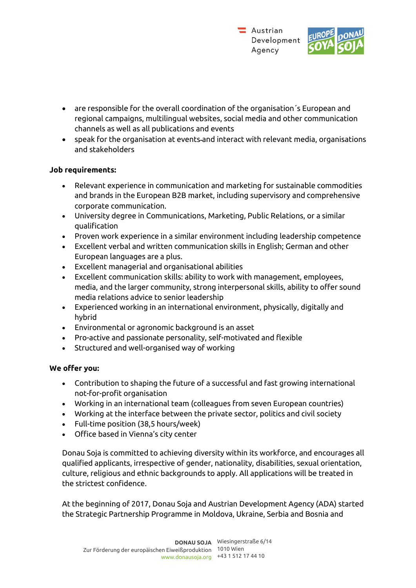

- are responsible for the overall coordination of the organisation´s European and regional campaigns, multilingual websites, social media and other communication channels as well as all publications and events
- speak for the organisation at events and interact with relevant media, organisations and stakeholders

### **Job requirements:**

- Relevant experience in communication and marketing for sustainable commodities and brands in the European B2B market, including supervisory and comprehensive corporate communication.
- University degree in Communications, Marketing, Public Relations, or a similar qualification
- Proven work experience in a similar environment including leadership competence
- Excellent verbal and written communication skills in English; German and other European languages are a plus.
- Excellent managerial and organisational abilities
- Excellent communication skills: ability to work with management, employees, media, and the larger community, strong interpersonal skills, ability to offer sound media relations advice to senior leadership
- Experienced working in an international environment, physically, digitally and hybrid
- Environmental or agronomic background is an asset
- Pro-active and passionate personality, self-motivated and flexible
- Structured and well-organised way of working

### **We offer you:**

- Contribution to shaping the future of a successful and fast growing international not-for-profit organisation
- Working in an international team (colleagues from seven European countries)
- Working at the interface between the private sector, politics and civil society
- Full-time position (38,5 hours/week)
- Office based in Vienna's city center

Donau Soja is committed to achieving diversity within its workforce, and encourages all qualified applicants, irrespective of gender, nationality, disabilities, sexual orientation, culture, religious and ethnic backgrounds to apply. All applications will be treated in the strictest confidence.

At the beginning of 2017, Donau Soja and Austrian Development Agency (ADA) started the Strategic Partnership Programme in Moldova, Ukraine, Serbia and Bosnia and